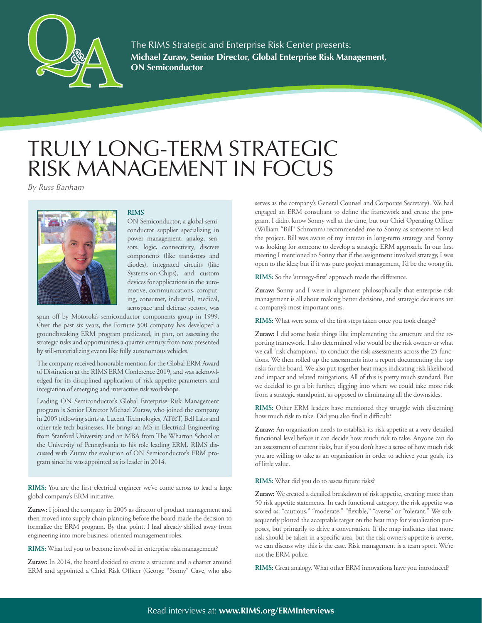

**Michael Zuraw, Senior Director, Global Enterprise Risk Management, ON Semiconductor** The RIMS Strategic and Enterprise Risk Center presents:

## TRULY LONG-TERM STRATEGIC RISK MANAGEMENT IN FOCUS

*By Russ Banham*



## **RIMS**

ON Semiconductor, a global semiconductor supplier specializing in power management, analog, sensors, logic, connectivity, discrete components (like transistors and diodes), integrated circuits (like Systems-on-Chips), and custom devices for applications in the automotive, communications, computing, consumer, industrial, medical, aerospace and defense sectors, was

spun off by Motorola's semiconductor components group in 1999. Over the past six years, the Fortune 500 company has developed a groundbreaking ERM program predicated, in part, on assessing the strategic risks and opportunities a quarter-century from now presented by still-materializing events like fully autonomous vehicles.

The company received honorable mention for the Global ERM Award of Distinction at the RIMS ERM Conference 2019, and was acknowledged for its disciplined application of risk appetite parameters and integration of emerging and interactive risk workshops.

Leading ON Semiconductor's Global Enterprise Risk Management program is Senior Director Michael Zuraw, who joined the company in 2005 following stints at Lucent Technologies, AT&T, Bell Labs and other tele-tech businesses. He brings an MS in Electrical Engineering from Stanford University and an MBA from The Wharton School at the University of Pennsylvania to his role leading ERM. RIMS discussed with Zuraw the evolution of ON Semiconductor's ERM program since he was appointed as its leader in 2014.

**RIMS:** You are the first electrical engineer we've come across to lead a large global company's ERM initiative.

**Zuraw:** I joined the company in 2005 as director of product management and then moved into supply chain planning before the board made the decision to formalize the ERM program. By that point, I had already shifted away from engineering into more business-oriented management roles.

**RIMS:** What led you to become involved in enterprise risk management?

**Zuraw:** In 2014, the board decided to create a structure and a charter around ERM and appointed a Chief Risk Officer (George "Sonny" Cave, who also

serves as the company's General Counsel and Corporate Secretary). We had engaged an ERM consultant to define the framework and create the program. I didn't know Sonny well at the time, but our Chief Operating Officer (William "Bill" Schromm) recommended me to Sonny as someone to lead the project. Bill was aware of my interest in long-term strategy and Sonny was looking for someone to develop a strategic ERM approach. In our first meeting I mentioned to Sonny that if the assignment involved strategy, I was open to the idea; but if it was pure project management, I'd be the wrong fit.

**RIMS:** So the 'strategy-first' approach made the difference.

**Zuraw:** Sonny and I were in alignment philosophically that enterprise risk management is all about making better decisions, and strategic decisions are a company's most important ones.

**RIMS:** What were some of the first steps taken once you took charge?

**Zuraw:** I did some basic things like implementing the structure and the reporting framework. I also determined who would be the risk owners or what we call 'risk champions,' to conduct the risk assessments across the 25 functions. We then rolled up the assessments into a report documenting the top risks for the board. We also put together heat maps indicating risk likelihood and impact and related mitigations. All of this is pretty much standard. But we decided to go a bit further, digging into where we could take more risk from a strategic standpoint, as opposed to eliminating all the downsides.

**RIMS:** Other ERM leaders have mentioned they struggle with discerning how much risk to take. Did you also find it difficult?

**Zuraw:** An organization needs to establish its risk appetite at a very detailed functional level before it can decide how much risk to take. Anyone can do an assessment of current risks, but if you don't have a sense of how much risk you are willing to take as an organization in order to achieve your goals, it's of little value.

**RIMS:** What did you do to assess future risks?

**Zuraw:** We created a detailed breakdown of risk appetite, creating more than 50 risk appetite statements. In each functional category, the risk appetite was scored as: "cautious," "moderate," "flexible," "averse" or "tolerant." We subsequently plotted the acceptable target on the heat map for visualization purposes, but primarily to drive a conversation. If the map indicates that more risk should be taken in a specific area, but the risk owner's appetite is averse, we can discuss why this is the case. Risk management is a team sport. We're not the ERM police.

**RIMS:** Great analogy. What other ERM innovations have you introduced?